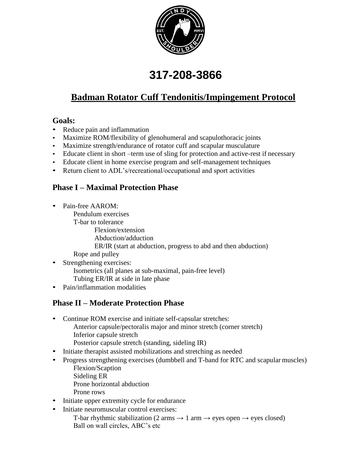

# **317-208-3866**

# **Badman Rotator Cuff Tendonitis/Impingement Protocol**

#### **Goals:**

- Reduce pain and inflammation
- Maximize ROM/flexibility of glenohumeral and scapulothoracic joints
- Maximize strength/endurance of rotator cuff and scapular musculature
- Educate client in short –term use of sling for protection and active-rest if necessary
- Educate client in home exercise program and self-management techniques
- Return client to ADL's/recreational/occupational and sport activities

## **Phase I – Maximal Protection Phase**

- Pain-free AAROM:
	- Pendulum exercises T-bar to tolerance Flexion/extension Abduction/adduction ER/IR (start at abduction, progress to abd and then abduction) Rope and pulley
- Strengthening exercises: Isometrics (all planes at sub-maximal, pain-free level) Tubing ER/IR at side in late phase
- Pain/inflammation modalities

#### **Phase II – Moderate Protection Phase**

- Continue ROM exercise and initiate self-capsular stretches: Anterior capsule/pectoralis major and minor stretch (corner stretch) Inferior capsule stretch Posterior capsule stretch (standing, sideling IR)
- Initiate therapist assisted mobilizations and stretching as needed
- Progress strengthening exercises (dumbbell and T-band for RTC and scapular muscles) Flexion/Scaption
	- Sideling ER
	- Prone horizontal abduction
	- Prone rows
- Initiate upper extremity cycle for endurance
- Initiate neuromuscular control exercises:
	- T-bar rhythmic stabilization (2 arms  $\rightarrow$  1 arm  $\rightarrow$  eyes open  $\rightarrow$  eyes closed) Ball on wall circles, ABC's etc